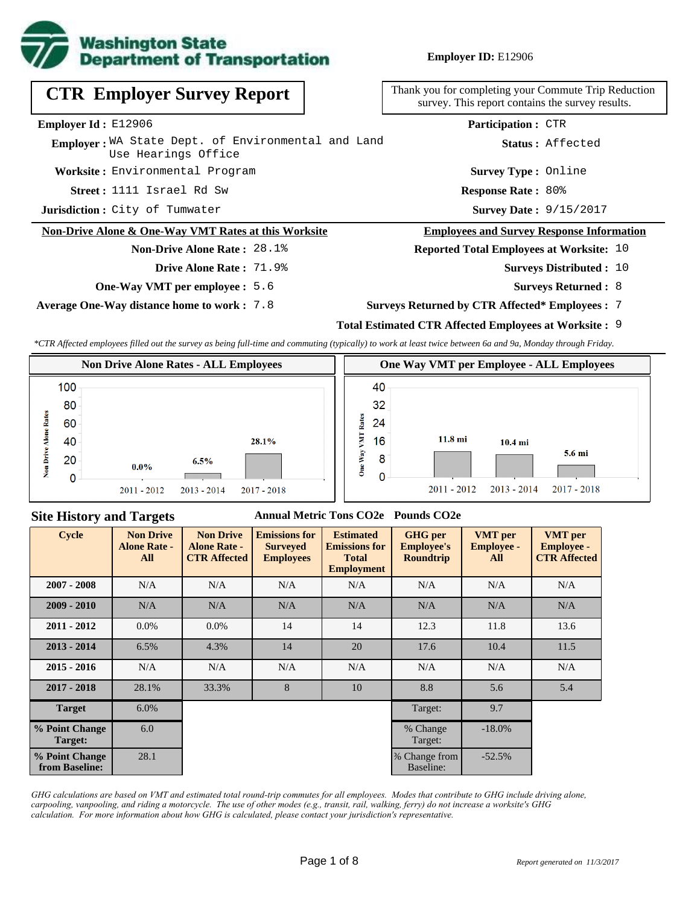

**Employer ID:** E12906

| <b>CTR Employer Survey Report</b>                                         | Thank you for completing your Commute Trip Reduction<br>survey. This report contains the survey results. |
|---------------------------------------------------------------------------|----------------------------------------------------------------------------------------------------------|
| Employer Id: E12906                                                       | <b>Participation: CTR</b>                                                                                |
| Employer: WA State Dept. of Environmental and Land<br>Use Hearings Office | Status: Affected                                                                                         |
| Worksite: Environmental Program                                           | <b>Survey Type: Online</b>                                                                               |
| Street: 1111 Israel Rd Sw                                                 | <b>Response Rate: 80%</b>                                                                                |
| Jurisdiction: City of Tumwater                                            | <b>Survey Date: 9/15/2017</b>                                                                            |
| Non-Drive Alone & One-Way VMT Rates at this Worksite                      | <b>Employees and Survey Response Information</b>                                                         |
| <b>Non-Drive Alone Rate: 28.1%</b>                                        | <b>Reported Total Employees at Worksite: 10</b>                                                          |
| <b>Drive Alone Rate: 71.9%</b>                                            | <b>Surveys Distributed : 10</b>                                                                          |

**One-Way VMT per employee :** 5.6

**Average One-Way distance home to work :** 7.8

- **Surveys Returned :** 8
- **Surveys Returned by CTR Affected\* Employees :** 7

## **Total Estimated CTR Affected Employees at Worksite :** 9

*\*CTR Affected employees filled out the survey as being full-time and commuting (typically) to work at least twice between 6a and 9a, Monday through Friday.*



#### **Site History and Targets**

#### **Annual Metric Tons CO2e Pounds CO2e**

| <b>Cycle</b>                     | <b>Non Drive</b><br><b>Alone Rate -</b><br>All | <b>Non Drive</b><br><b>Alone Rate -</b><br><b>CTR Affected</b> | <b>Emissions for</b><br><b>Emissions for</b><br><b>Surveyed</b><br><b>Employees</b> |     | <b>GHG</b> per<br><b>Employee's</b><br><b>Roundtrip</b> | <b>VMT</b> per<br><b>Employee -</b><br>All | <b>VMT</b> per<br><b>Employee -</b><br><b>CTR Affected</b> |     |     |
|----------------------------------|------------------------------------------------|----------------------------------------------------------------|-------------------------------------------------------------------------------------|-----|---------------------------------------------------------|--------------------------------------------|------------------------------------------------------------|-----|-----|
| $2007 - 2008$                    | N/A                                            | N/A                                                            | N/A                                                                                 |     | N/A                                                     |                                            | N/A                                                        | N/A | N/A |
| $2009 - 2010$                    | N/A                                            | N/A                                                            | N/A                                                                                 | N/A | N/A                                                     | N/A                                        | N/A                                                        |     |     |
| $2011 - 2012$                    | $0.0\%$                                        | $0.0\%$                                                        | 14                                                                                  | 14  | 12.3                                                    | 11.8                                       | 13.6                                                       |     |     |
| $2013 - 2014$                    | 6.5%                                           | 4.3%                                                           | 14                                                                                  | 20  | 17.6                                                    | 10.4                                       | 11.5                                                       |     |     |
| $2015 - 2016$                    | N/A                                            | N/A                                                            | N/A                                                                                 | N/A | N/A                                                     | N/A                                        | N/A                                                        |     |     |
| $2017 - 2018$                    | 28.1%                                          | 33.3%                                                          | 8                                                                                   | 10  | 8.8                                                     | 5.6                                        | 5.4                                                        |     |     |
| <b>Target</b>                    | 6.0%                                           |                                                                |                                                                                     |     | Target:                                                 | 9.7                                        |                                                            |     |     |
| % Point Change<br>Target:        | 6.0                                            |                                                                |                                                                                     |     | % Change<br>Target:                                     | $-18.0\%$                                  |                                                            |     |     |
| % Point Change<br>from Baseline: | 28.1                                           |                                                                |                                                                                     |     | % Change from<br>Baseline:                              | $-52.5%$                                   |                                                            |     |     |

*GHG calculations are based on VMT and estimated total round-trip commutes for all employees. Modes that contribute to GHG include driving alone, carpooling, vanpooling, and riding a motorcycle. The use of other modes (e.g., transit, rail, walking, ferry) do not increase a worksite's GHG calculation. For more information about how GHG is calculated, please contact your jurisdiction's representative.*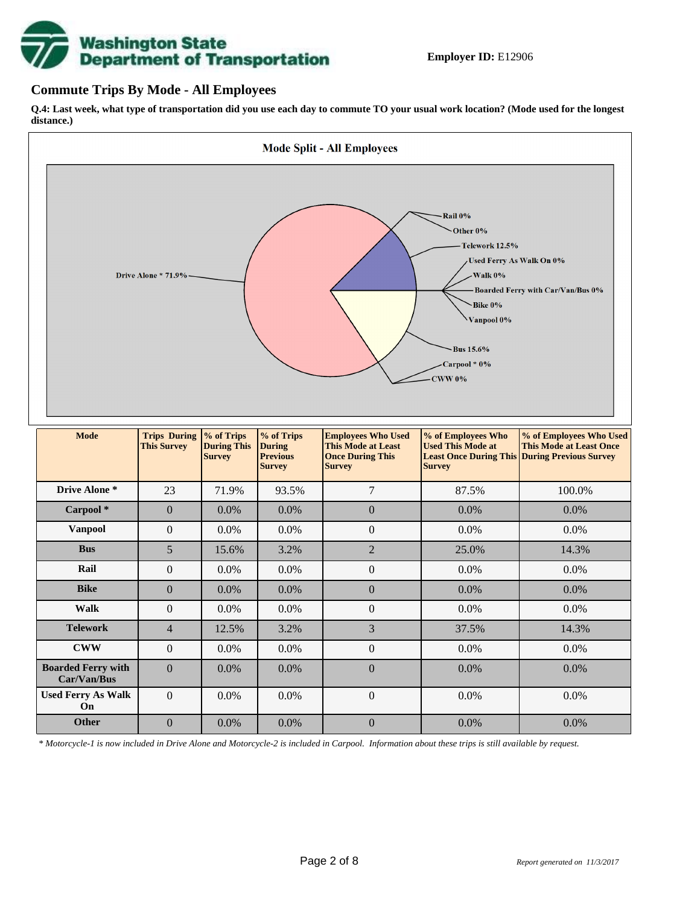# **Washington State<br>Department of Transportation**

### **Commute Trips By Mode - All Employees**

**Q.4: Last week, what type of transportation did you use each day to commute TO your usual work location? (Mode used for the longest distance.)**



*\* Motorcycle-1 is now included in Drive Alone and Motorcycle-2 is included in Carpool. Information about these trips is still available by request.*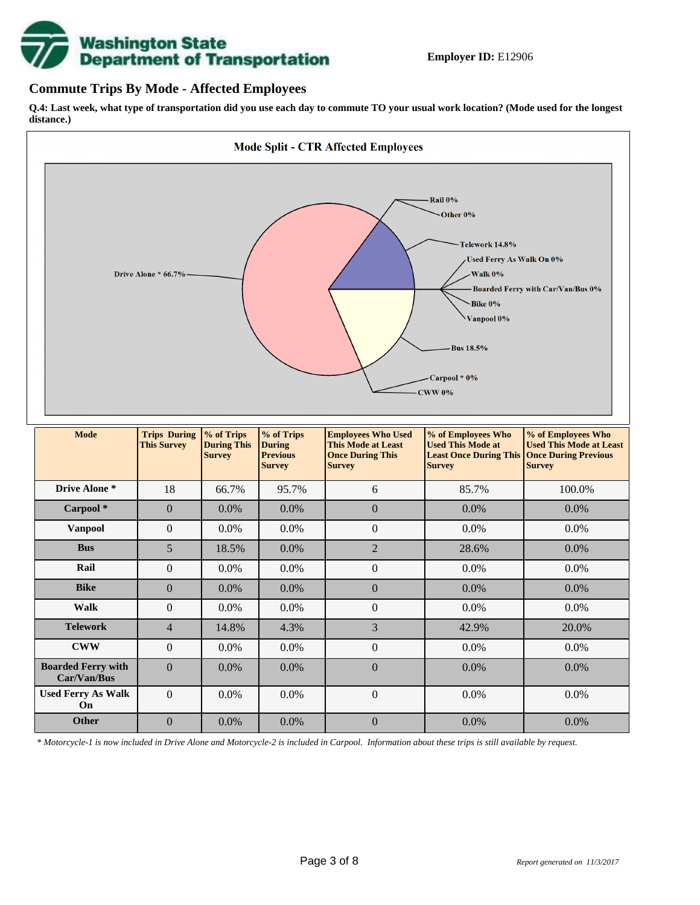

### **Commute Trips By Mode - Affected Employees**

**Q.4: Last week, what type of transportation did you use each day to commute TO your usual work location? (Mode used for the longest distance.)**



*\* Motorcycle-1 is now included in Drive Alone and Motorcycle-2 is included in Carpool. Information about these trips is still available by request.*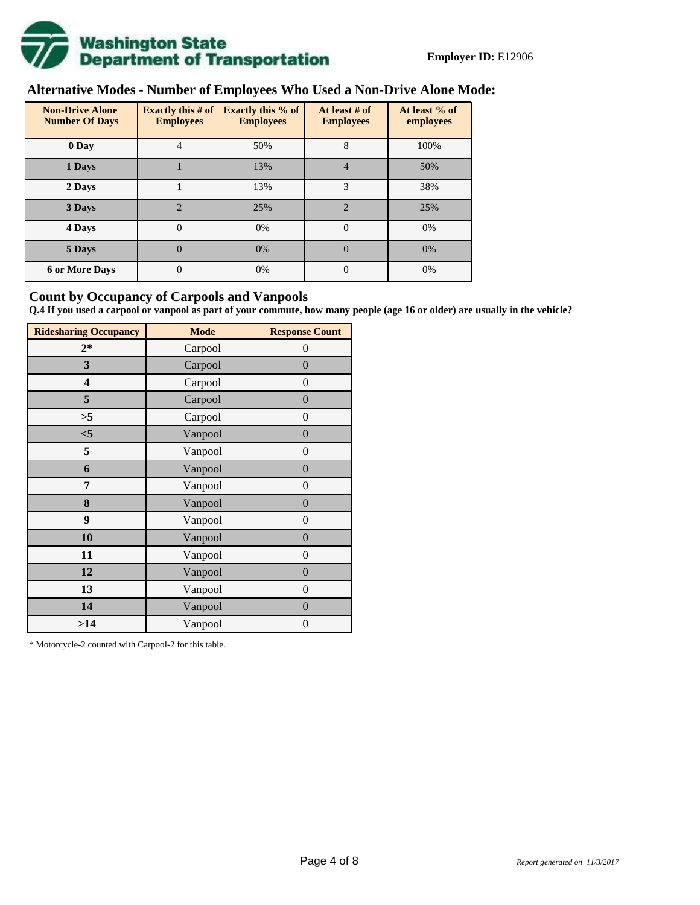

# **Alternative Modes - Number of Employees Who Used a Non-Drive Alone Mode:**

| <b>Non-Drive Alone</b><br><b>Number Of Days</b> | <b>Exactly this # of</b><br><b>Employees</b> | <b>Exactly this % of</b><br><b>Employees</b> | At least # of<br><b>Employees</b> | At least % of<br>employees |
|-------------------------------------------------|----------------------------------------------|----------------------------------------------|-----------------------------------|----------------------------|
| 0 Day                                           | 4                                            | 50%                                          | 8                                 | 100%                       |
| 1 Days                                          |                                              | 13%                                          | 4                                 | 50%                        |
| 2 Days                                          |                                              | 13%                                          | 3                                 | 38%                        |
| 3 Days                                          | $\overline{2}$                               | 25%                                          | $\overline{2}$                    | 25%                        |
| 4 Days                                          | $\theta$                                     | 0%                                           | $\Omega$                          | 0%                         |
| 5 Days                                          | 0                                            | 0%                                           | $\theta$                          | 0%                         |
| <b>6 or More Days</b>                           | $\theta$                                     | 0%                                           | $\Omega$                          | 0%                         |

### **Count by Occupancy of Carpools and Vanpools**

**Q.4 If you used a carpool or vanpool as part of your commute, how many people (age 16 or older) are usually in the vehicle?**

| <b>Ridesharing Occupancy</b> | <b>Mode</b> | <b>Response Count</b> |
|------------------------------|-------------|-----------------------|
| $2*$                         | Carpool     | $\theta$              |
| 3                            | Carpool     | $\overline{0}$        |
| 4                            | Carpool     | $\theta$              |
| 5                            | Carpool     | $\overline{0}$        |
| >5                           | Carpool     | $\overline{0}$        |
| $<$ 5                        | Vanpool     | $\overline{0}$        |
| 5                            | Vanpool     | $\overline{0}$        |
| 6                            | Vanpool     | $\boldsymbol{0}$      |
| 7                            | Vanpool     | $\overline{0}$        |
| 8                            | Vanpool     | $\overline{0}$        |
| 9                            | Vanpool     | $\overline{0}$        |
| 10                           | Vanpool     | $\overline{0}$        |
| 11                           | Vanpool     | $\overline{0}$        |
| 12                           | Vanpool     | $\boldsymbol{0}$      |
| 13                           | Vanpool     | $\boldsymbol{0}$      |
| 14                           | Vanpool     | $\overline{0}$        |
| >14                          | Vanpool     | $\boldsymbol{0}$      |

\* Motorcycle-2 counted with Carpool-2 for this table.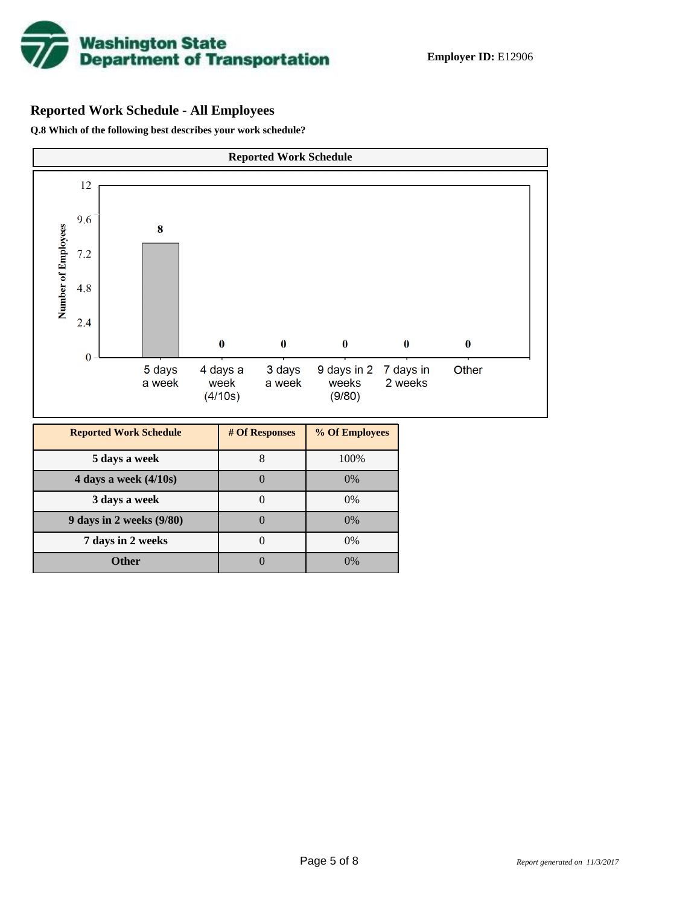

## **Reported Work Schedule - All Employees**

**Q.8 Which of the following best describes your work schedule?**

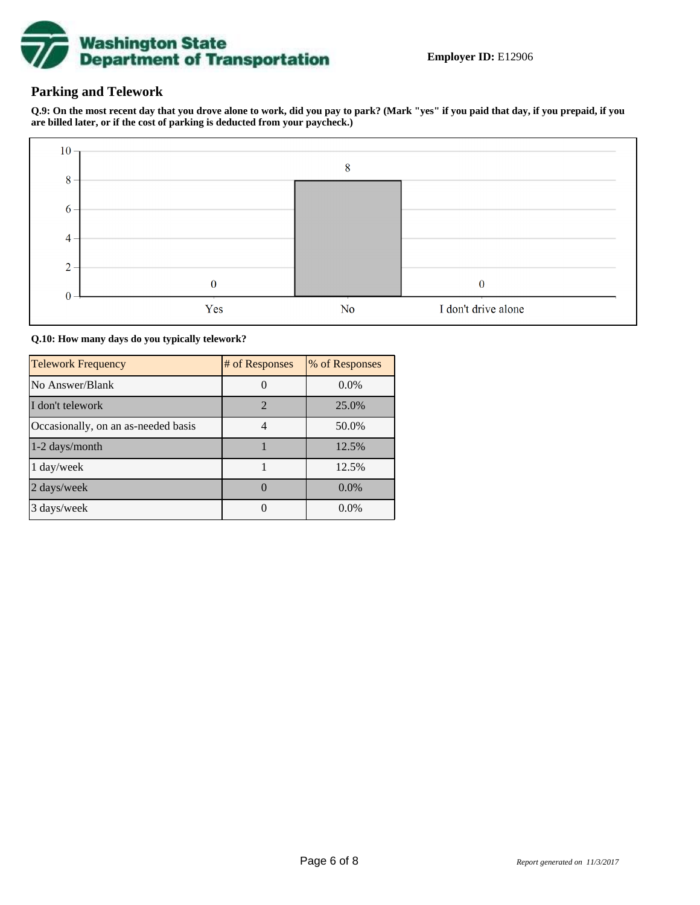

## **Parking and Telework**

**Q.9: On the most recent day that you drove alone to work, did you pay to park? (Mark "yes" if you paid that day, if you prepaid, if you are billed later, or if the cost of parking is deducted from your paycheck.)**



**Q.10: How many days do you typically telework?**

| <b>Telework Frequency</b>           | # of Responses | % of Responses |
|-------------------------------------|----------------|----------------|
| No Answer/Blank                     |                | $0.0\%$        |
| I don't telework                    | $\overline{2}$ | 25.0%          |
| Occasionally, on an as-needed basis |                | 50.0%          |
| $1-2$ days/month                    |                | 12.5%          |
| 1 day/week                          |                | 12.5%          |
| 2 days/week                         |                | $0.0\%$        |
| 3 days/week                         |                | $0.0\%$        |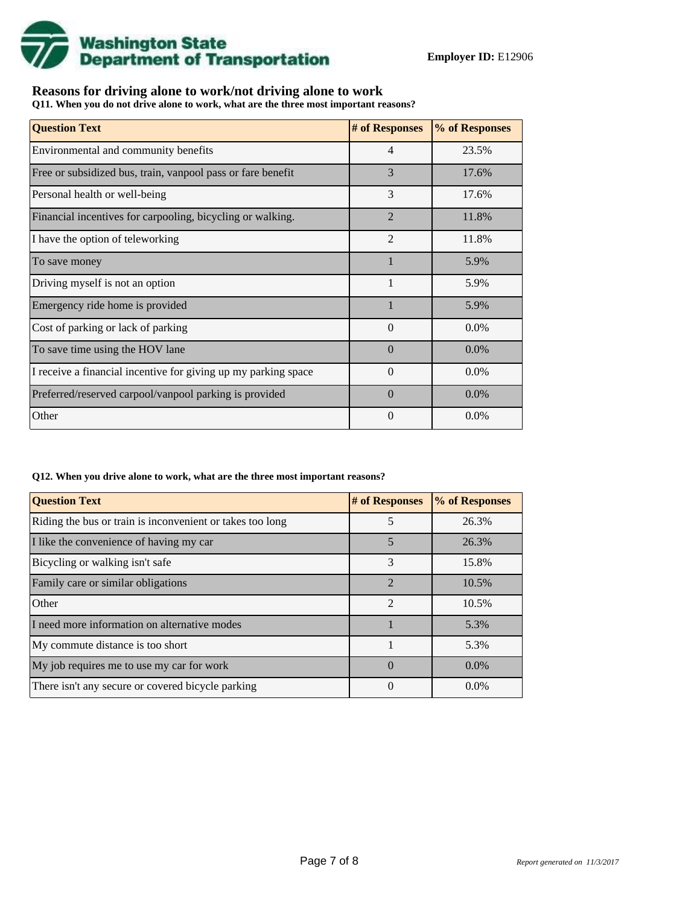

## **Reasons for driving alone to work/not driving alone to work**

**Q11. When you do not drive alone to work, what are the three most important reasons?**

| <b>Question Text</b>                                           | # of Responses | % of Responses |
|----------------------------------------------------------------|----------------|----------------|
| Environmental and community benefits                           | $\overline{4}$ | 23.5%          |
| Free or subsidized bus, train, vanpool pass or fare benefit    | 3              | 17.6%          |
| Personal health or well-being                                  | 3              | 17.6%          |
| Financial incentives for carpooling, bicycling or walking.     | $\overline{2}$ | 11.8%          |
| I have the option of teleworking                               | $\overline{2}$ | 11.8%          |
| To save money                                                  |                | 5.9%           |
| Driving myself is not an option                                | 1              | 5.9%           |
| Emergency ride home is provided                                |                | 5.9%           |
| Cost of parking or lack of parking                             | $\Omega$       | $0.0\%$        |
| To save time using the HOV lane                                | $\Omega$       | $0.0\%$        |
| I receive a financial incentive for giving up my parking space | $\Omega$       | $0.0\%$        |
| Preferred/reserved carpool/vanpool parking is provided         | $\Omega$       | $0.0\%$        |
| Other                                                          | $\theta$       | $0.0\%$        |

#### **Q12. When you drive alone to work, what are the three most important reasons?**

| <b>Question Text</b>                                      | # of Responses | % of Responses |
|-----------------------------------------------------------|----------------|----------------|
| Riding the bus or train is inconvenient or takes too long | 5              | 26.3%          |
| I like the convenience of having my car                   | 5              | 26.3%          |
| Bicycling or walking isn't safe                           | 3              | 15.8%          |
| Family care or similar obligations                        | $\overline{2}$ | 10.5%          |
| Other                                                     | $\overline{2}$ | 10.5%          |
| I need more information on alternative modes              |                | 5.3%           |
| My commute distance is too short                          |                | 5.3%           |
| My job requires me to use my car for work                 | $\Omega$       | $0.0\%$        |
| There isn't any secure or covered bicycle parking         | 0              | $0.0\%$        |